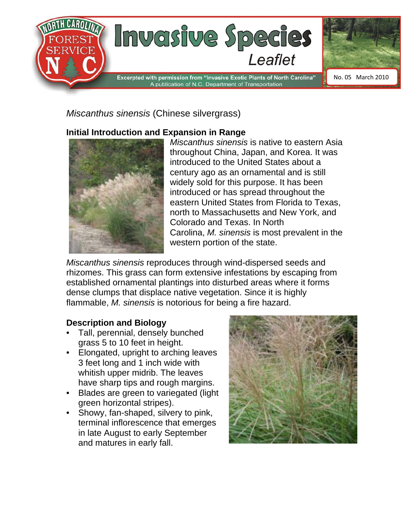

# *Miscanthus sinensis* (Chinese silvergrass)

# **Initial Introduction and Expansion in Range**



*Miscanthus sinensis* is native to eastern Asia throughout China, Japan, and Korea. It was introduced to the United States about a century ago as an ornamental and is still widely sold for this purpose. It has been introduced or has spread throughout the eastern United States from Florida to Texas, north to Massachusetts and New York, and Colorado and Texas. In North Carolina, *M. sinensis* is most prevalent in the western portion of the state.

*Miscanthus sinensis* reproduces through wind-dispersed seeds and rhizomes. This grass can form extensive infestations by escaping from established ornamental plantings into disturbed areas where it forms dense clumps that displace native vegetation. Since it is highly flammable, *M. sinensis* is notorious for being a fire hazard.

## **Description and Biology**

- Tall, perennial, densely bunched grass 5 to 10 feet in height.
- Elongated, upright to arching leaves 3 feet long and 1 inch wide with whitish upper midrib. The leaves have sharp tips and rough margins.
- Blades are green to variegated (light green horizontal stripes).
- Showy, fan-shaped, silvery to pink, terminal inflorescence that emerges in late August to early September and matures in early fall.